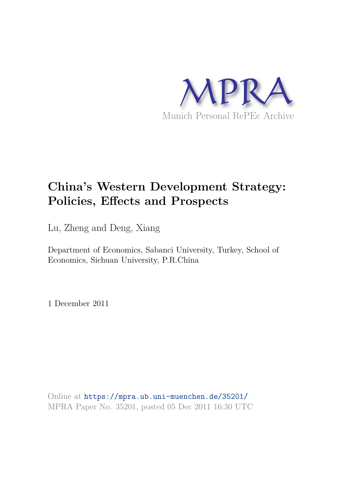

# **China's Western Development Strategy: Policies, Effects and Prospects**

Lu, Zheng and Deng, Xiang

Department of Economics, Sabanci University, Turkey, School of Economics, Sichuan University, P.R.China

1 December 2011

Online at https://mpra.ub.uni-muenchen.de/35201/ MPRA Paper No. 35201, posted 05 Dec 2011 16:30 UTC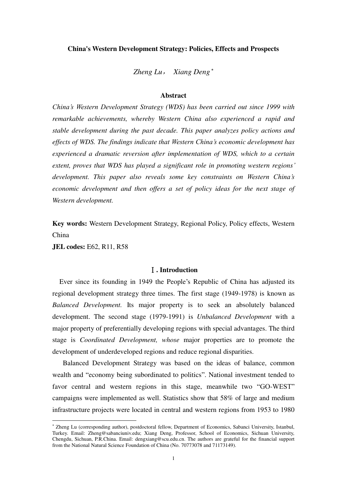## **China's Western Development Strategy: Policies, Effects and Prospects**

*Zheng Lu*, *Xiang Deng*

# **Abstract**

*China's Western Development Strategy (WDS) has been carried out since 1999 with remarkable achievements, whereby Western China also experienced a rapid and stable development during the past decade. This paper analyzes policy actions and effects of WDS. The findings indicate that Western China's economic development has experienced a dramatic reversion after implementation of WDS, which to a certain extent, proves that WDS has played a significant role in promoting western regions' development. This paper also reveals some key constraints on Western China's economic development and then offers a set of policy ideas for the next stage of Western development.* 

**Key words:** Western Development Strategy, Regional Policy, Policy effects, Western China

**JEL codes:** E62, R11, R58

 $\ddot{ }$ 

#### Ⅰ**. Introduction**

Ever since its founding in 1949 the People's Republic of China has adjusted its regional development strategy three times. The first stage (1949-1978) is known as *Balanced Development.* Its major property is to seek an absolutely balanced development. The second stage (1979-1991) is *Unbalanced Development* with a major property of preferentially developing regions with special advantages. The third stage is *Coordinated Development, whose* major properties are to promote the development of underdeveloped regions and reduce regional disparities.

Balanced Development Strategy was based on the ideas of balance, common wealth and "economy being subordinated to politics". National investment tended to favor central and western regions in this stage, meanwhile two "GO-WEST" campaigns were implemented as well. Statistics show that 58% of large and medium infrastructure projects were located in central and western regions from 1953 to 1980

 Zheng Lu (corresponding author), postdoctoral fellow, Department of Economics, Sabanci University, Istanbul, Turkey. Email: [Zheng@sabanciuniv.edu;](mailto:Zheng@sabanciuniv.edu) Xiang Deng, Professor, School of Economics, Sichuan University, Chengdu, Sichuan, P.R.China. Email: [dengxiang@scu.edu.cn.](mailto:dengxiang@scu.edu.cn) The authors are grateful for the financial support from the National Natural Science Foundation of China (No. 70773078 and 71173149).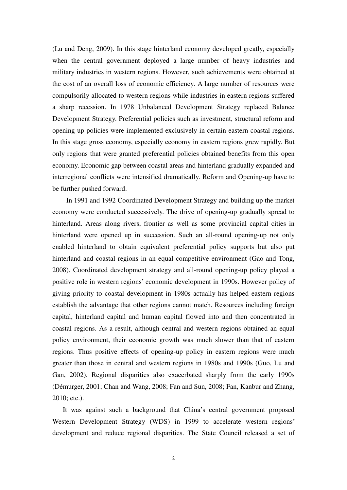(Lu and Deng, 2009). In this stage hinterland economy developed greatly, especially when the central government deployed a large number of heavy industries and military industries in western regions. However, such achievements were obtained at the cost of an overall loss of economic efficiency. A large number of resources were compulsorily allocated to western regions while industries in eastern regions suffered a sharp recession. In 1978 Unbalanced Development Strategy replaced Balance Development Strategy. [Preferential p](app:ds:preferential%20tax%20policies)olicies such as investment, structural reform and opening-up policies were implemented exclusively in certain eastern coastal regions. In this stage gross economy, especially economy in eastern regions grew rapidly. But only regions that were granted preferential policies obtained benefits from this open economy. Economic gap between coastal areas and hinterland gradually expanded and interregional conflicts were intensified dramatically. Reform and Opening-up have to be further pushed forward.

In 1991 and 1992 Coordinated Development Strategy and building up the market economy were conducted successively. The drive of opening-up gradually spread to hinterland. Areas along rivers, frontier as well as some provincial capital cities in hinterland were opened up in succession. Such an all-round opening-up not only enabled hinterland to obtain equivalent preferential policy supports but also put hinterland and coastal regions in an equal competitive environment (Gao and Tong, 2008). Coordinated development strategy and all-round opening-up policy played a positive role in western regions' economic development in 1990s. However policy of giving priority to coastal development in 1980s actually has helped eastern regions establish the advantage that other regions cannot match. Resources including foreign capital, hinterland capital and human capital flowed into and then concentrated in coastal regions. As a result, although central and western regions obtained an equal policy environment, their economic growth was much slower than that of eastern regions. Thus positive effects of opening-up policy in eastern regions were much greater than those in central and western regions in 1980s and 1990s (Guo, Lu and Gan, 2002). Regional disparities also exacerbated sharply from the early 1990s (Démurger, 2001; Chan and Wang, 2008; Fan and Sun, 2008; Fan, Kanbur and Zhang, 2010; etc.).

It was against such a background that China's central government proposed Western Development Strategy (WDS) in 1999 to accelerate western regions' development and reduce regional disparities. The State Council released a set of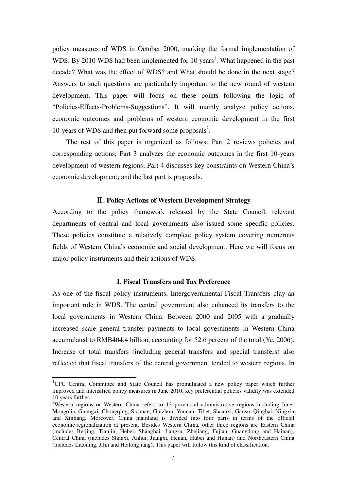policy measures of WDS in October 2000, marking the formal implementation of WDS. By 2010 WDS had been implemented for 10 years<sup>1</sup>. What happened in the past decade? What was the effect of WDS? and What should be done in the next stage? Answers to such questions are particularly important to the new round of western development. This paper will focus on these points following the logic of ―Policies-Effects-Problems-Suggestions‖. It will mainly analyze policy actions, economic outcomes and problems of western economic development in the first 10-years of WDS and then put forward some proposals<sup>2</sup>.

The rest of this paper is organized as follows: Part 2 reviews policies and [corresponding](app:ds:corresponding) actions; Part 3 analyzes the economic outcomes in the first 10-years development of western regions; Part 4 discusses key constraints on Western China's economic development; and the last part is proposals.

#### Ⅱ**. Policy Actions of Western Development Strategy**

According to the policy framework released by the State Council, relevant departments of central and local governments also issued some specific policies. These policies constitute a relatively complete policy system covering numerous fields of Western China's economic and social development. Here we will focus on major policy instruments and their actions of WDS.

#### **1. Fiscal Transfers and Tax Preference**

As one of the fiscal policy instruments, Intergovernmental Fiscal Transfers play an important role in WDS. The central government also enhanced its transfers to the local governments in Western China. Between 2000 and 2005 with a gradually increased scale general transfer payments to local governments in Western China accumulated to RMB404.4 billion, accounting for 52.6 percent of the total (Ye, 2006). Increase of total transfers (including general transfers and special transfers) also reflected that fiscal transfers of the central government tended to western regions. In

 $\overline{a}$ 

<sup>&</sup>lt;sup>1</sup>CPC Central Committee and State Council has promulgated a new policy paper which further improved and intensified policy measures in June 2010, key preferential policies validity was extended 10 years further.

<sup>&</sup>lt;sup>2</sup>Western regions or Western China refers to 12 provincial administrative regions including Inner Mongolia, Guangxi, Chongqing, Sichuan, Guizhou, Yunnan, Tibet, Shaanxi, Gansu, Qinghai, Ningxia and Xinjiang. Moreover, China mainland is divided into four parts in terms of the official economic regionalization at present. Besides Western China, other three regions are Eastern China (includes Beijing, Tianjin, Hebei, Shanghai, Jiangsu, Zhejiang, Fujian, Guangdong and Hainan), Central China (includes Shanxi, Anhui, Jiangxi, Henan, Hubei and Hunan) and Northeastern China (includes Liaoning, Jilin and Heilongjiang). This paper will follow this kind of classification.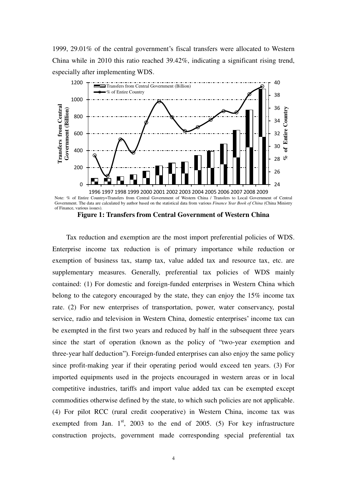1999, 29.01% of the central government's fiscal transfers were allocated to Western China while in 2010 this ratio reached 39.42%, indicating a significant rising trend, especially after implementing WDS.



of Finance, various issues).

**Figure 1: Transfers from Central Government of Western China**

Tax reduction and exemption are the most import preferential policies of WDS. Enterprise income tax reduction is of primary importance while reduction or exemption of business tax, stamp tax, value added tax and resource tax, etc. are supplementary measures. [Generally,](app:ds:generally%20speaking) preferential tax policies of WDS mainly contained: (1) For domestic and foreign-funded enterprises in Western China which belong to the category encouraged by the state, they can enjoy the 15% income tax rate. (2) For new enterprises of transportation, power, water conservancy, postal service, radio and television in Western China, domestic enterprises' income tax can be exempted in the first two years and reduced by half in the subsequent three years since the start of operation (known as the policy of "two-year exemption and three-year half deduction"). Foreign-funded enterprises can also enjoy the same policy since profit-making year if their operating period would exceed ten years. (3) For imported equipments used in the projects encouraged in western areas or in local [competitive industries,](app:ds:competitive%20industries) tariffs and import value added tax can be exempted except commodities otherwise defined by the state, to which such policies are not applicable. (4) For pilot RCC (rural credit cooperative) in Western China, income tax was exempted from Jan.  $1<sup>st</sup>$ , 2003 to the end of 2005. (5) For key infrastructure construction projects, government made corresponding special preferential tax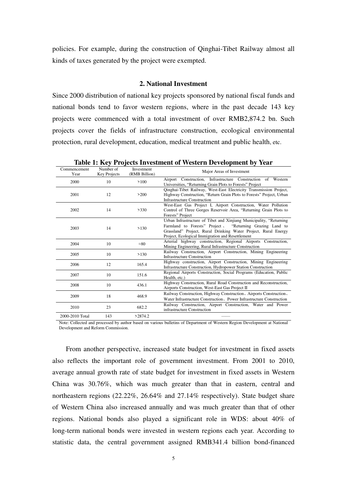policies. For example, during the construction of Qinghai-Tibet Railway almost all kinds of taxes generated by the project were exempted.

## **2. National Investment**

Since 2000 distribution of national key projects sponsored by national fiscal funds and national bonds tend to favor western regions, where in the past decade 143 key projects were commenced with a total investment of over RMB2,874.2 bn. Such projects cover the fields of infrastructure construction, ecological environmental protection, rural development, education, [medical treatment and public health](app:ds:Medical%20Treatment%20and%20Public%20Health), etc.

| Commencement<br>Year | Number of<br>Key Projects | Investment<br>(RMB Billion) | Major Areas of Investment                                                                                                                                                                                                                              |
|----------------------|---------------------------|-----------------------------|--------------------------------------------------------------------------------------------------------------------------------------------------------------------------------------------------------------------------------------------------------|
| 2000                 | 10                        | >100                        | Airport Construction, Infrastructure Construction of Western<br>Universities, "Returning Grain Plots to Forests" Project                                                                                                                               |
| 2001                 | 12                        | >200                        | Qinghai-Tibet Railway, West-East Electricity Transmission Project,<br>Highway Construction, "Return Grain Plots to Forests" Project, Urban<br>Infrastructure Construction                                                                              |
| 2002                 | 14                        | >330                        | West-East Gas Project I, Airport Construction, Water Pollution<br>Control of Three Gorges Reservoir Area, "Returning Grain Plots to<br>Forests" Project                                                                                                |
| 2003                 | 14                        | >130                        | Urban Infrastructure of Tibet and Xinjiang Municipality, "Returning<br>Farmland to Forests" Project , "Returning Grazing Land to<br>Grassland" Project, Rural Drinking Water Project, Rural Energy<br>Project, Ecological Immigration and Resettlement |
| 2004                 | 10                        | $\approx 80$                | Arterial highway construction, Regional Airports Construction,<br>Mining Engineering, Rural Infrastructure Construction                                                                                                                                |
| 2005                 | 10                        | >130                        | Railway Construction, Airport Construction, Mining Engineering<br><b>Infrastructure Construction</b>                                                                                                                                                   |
| 2006                 | 12                        | 165.4                       | Highway construction, Airport Construction, Mining Engineering<br>Infrastructure Construction, Hydropower Station Construction                                                                                                                         |
| 2007                 | 10                        | 151.6                       | Regional Airports Construction, Social Programs (Education, Public<br>Health, etc.)                                                                                                                                                                    |
| 2008                 | 10                        | 436.1                       | Highway Construction, Rural Road Construction and Reconstruction,<br>Airports Construction, West-East Gas Project II                                                                                                                                   |
| 2009                 | 18                        | 468.9                       | Railway Construction, Highway Construction, Airports Construction,<br>Water Infrastructure Construction, Power Infrastructure Construction                                                                                                             |
| 2010                 | 23                        | 682.2                       | Railway Construction, Airport Construction, Water and Power<br>infrastructure Construction                                                                                                                                                             |
| 2000-2010 Total      | 143                       | >2874.2                     |                                                                                                                                                                                                                                                        |

**Table 1: Key Projects Investment of Western Development by Year** 

Note: Collected and processed by author based on various bulletins of [Department of Western Region Development](http://en.ndrc.gov.cn/mfod/t20081217_252127.htm) at National

Development and Reform Commission.

From another perspective, increased state budget for investment in fixed assets also reflects the important role of government investment. From 2001 to 2010, average annual growth rate of state budget for investment in fixed assets in Western China was 30.76%, which was much greater than that in eastern, central and northeastern regions (22.22%, 26.64% and 27.14% respectively). State budget share of Western China also increased annually and was much greater than that of other regions. National bonds also played a significant role in WDS: about 40% of long-term national bonds were invested in western regions each year. According to statistic data, the central government assigned RMB341.4 billion bond-financed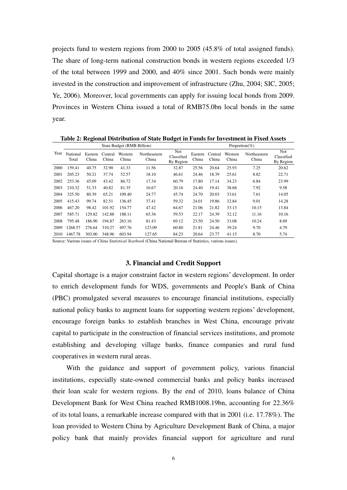projects fund to western regions from 2000 to 2005 (45.8% of total assigned funds). The share of long-term national construction bonds in western regions exceeded 1/3 of the total between 1999 and 2000, and 40% since 2001. Such bonds were mainly invested in the construction and improvement of infrastructure (Zhu, 2004; SIC, 2005; Ye, 2006). Moreover, local governments can apply for issuing local bonds from 2009. Provinces in Western China issued a total of RMB75.0bn local bonds in the same year.

**Table 2: Regional Distribution of State Budget in Funds for Investment in Fixed Assets** 

|      |                   |                  |                  | State Budget (RMB Billion) |                       | Proportion(%)                  |                  |                  |                  |                       |                                |  |
|------|-------------------|------------------|------------------|----------------------------|-----------------------|--------------------------------|------------------|------------------|------------------|-----------------------|--------------------------------|--|
| Year | National<br>Total | Eastern<br>China | Central<br>China | Western<br>China           | Northeastern<br>China | Not<br>Classified<br>By Region | Eastern<br>China | Central<br>China | Western<br>China | Northeastern<br>China | Not<br>Classified<br>By Region |  |
| 2000 | 159.41            | 40.75            | 32.90            | 41.33                      | 11.56                 | 32.87                          | 25.56            | 20.64            | 25.93            | 7.25                  | 20.62                          |  |
| 2001 | 205.23            | 50.21            | 37.74            | 52.57                      | 18.10                 | 46.61                          | 24.46            | 18.39            | 25.61            | 8.82                  | 22.71                          |  |
| 2002 | 253.36            | 45.09            | 43.42            | 86.72                      | 17.34                 | 60.79                          | 17.80            | 17.14            | 34.23            | 6.84                  | 23.99                          |  |
| 2003 | 210.32            | 51.33            | 40.82            | 81.35                      | 16.67                 | 20.16                          | 24.40            | 19.41            | 38.68            | 7.92                  | 9.58                           |  |
| 2004 | 325.50            | 80.39            | 65.21            | 109.40                     | 24.77                 | 45.74                          | 24.70            | 20.03            | 33.61            | 7.61                  | 14.05                          |  |
| 2005 | 415.43            | 99.74            | 82.51            | 136.45                     | 37.41                 | 59.32                          | 24.01            | 19.86            | 32.84            | 9.01                  | 14.28                          |  |
| 2006 | 467.20            | 98.42            | 101.92           | 154.77                     | 47.42                 | 64.67                          | 21.06            | 21.82            | 33.13            | 10.15                 | 13.84                          |  |
| 2007 | 585.71            | 129.82           | 142.88           | 188.11                     | 65.36                 | 59.53                          | 22.17            | 24.39            | 32.12            | 11.16                 | 10.16                          |  |
| 2008 | 795.48            | 186.90           | 194.87           | 263.16                     | 81.43                 | 69.12                          | 23.50            | 24.50            | 33.08            | 10.24                 | 8.69                           |  |
| 2009 | 1268.57           | 276.64           | 310.27           | 497.76                     | 123.09                | 60.80                          | 21.81            | 24.46            | 39.24            | 9.70                  | 4.79                           |  |
| 2010 | 1467.78           | 303.00           | 348.96           | 603.94                     | 127.65                | 84.23                          | 20.64            | 23.77            | 41.15            | 8.70                  | 5.74                           |  |

Source: Various issues of *China Statistical Yearbook* (China National Bureau of Statistics, various issues).

#### **3. Financial and Credit Support**

Capital shortage is a major constraint factor in western regions' development. In order to enrich development funds for WDS, governments and People's Bank of China (PBC) promulgated several measures to encourage financial institutions, especially national policy banks to augment loans for supporting western regions' development, encourage foreign banks to establish branches in West China, encourage private capital to participate in the construction of financial services institutions, and promote establishing and developing village banks, finance companies and rural fund cooperatives in western rural areas.

With the guidance and support of government policy, various financial institutions, especially state-owned commercial banks and policy banks increased their loan scale for western regions. By the end of 2010, loans balance of China Development Bank for West China reached RMB1008.19bn, accounting for 22.36% of its total loans, a remarkable increase compared with that in 2001 (i.e. 17.78%). The loan provided to Western China by Agriculture Development Bank of China, a major policy bank that mainly provides financial support for agriculture and rural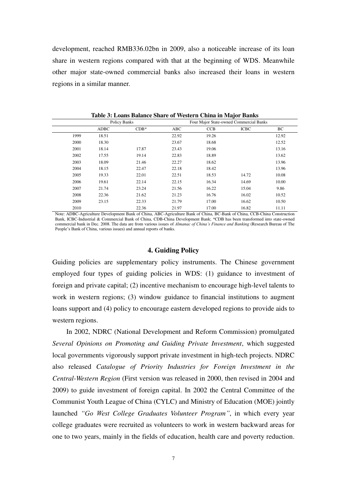development, reached RMB336.02bn in 2009, also a noticeable increase of its loan share in western regions compared with that at the beginning of WDS. Meanwhile other major state-owned commercial banks also increased their loans in western regions in a similar manner.

|      |             | Policy Banks |       |            | Four Major State-owned Commercial Banks |       |
|------|-------------|--------------|-------|------------|-----------------------------------------|-------|
|      | <b>ADBC</b> | $CDB*$       | ABC   | <b>CCB</b> | <b>ICBC</b>                             | ВC    |
| 1999 | 18.51       |              | 22.92 | 19.26      |                                         | 12.92 |
| 2000 | 18.30       |              | 23.67 | 18.68      |                                         | 12.52 |
| 2001 | 18.14       | 17.87        | 23.43 | 19.06      |                                         | 13.16 |
| 2002 | 17.55       | 19.14        | 22.83 | 18.89      |                                         | 13.62 |
| 2003 | 18.09       | 21.46        | 22.27 | 18.62      |                                         | 13.96 |
| 2004 | 18.15       | 22.47        | 22.18 | 18.42      |                                         | 13.96 |
| 2005 | 19.33       | 22.01        | 22.51 | 18.53      | 14.72                                   | 10.08 |
| 2006 | 19.61       | 22.14        | 22.15 | 16.34      | 14.69                                   | 10.00 |
| 2007 | 21.74       | 23.24        | 21.56 | 16.22      | 15.04                                   | 9.86  |
| 2008 | 22.36       | 21.62        | 21.23 | 16.76      | 16.02                                   | 10.52 |
| 2009 | 23.15       | 22.33        | 21.79 | 17.00      | 16.62                                   | 10.50 |
| 2010 |             | 22.36        | 21.97 | 17.00      | 16.82                                   | 11.11 |

**Table 3: Loans Balance Share of Western China in Major Banks**

Note: ADBC-Agriculture Development Bank of China, ABC-Agriculture Bank of China, BC-Bank of China, CCB-China Construction Bank, ICBC-Industrial & Commercial Bank of China, CDB-China Development Bank; \*CDB has been transformed into state-owned commercial bank in Dec. 2008. The data are from various issues of *Almanac of China's Finance and Banking* (Research Bureau of The People's Bank of China, various issues) and annual reports of banks.

#### **4. Guiding Policy**

Guiding policies are supplementary policy instruments. The Chinese government employed four types of guiding policies in WDS: (1) guidance to investment of foreign and private capital; (2) incentive mechanism to encourage high-level talents to work in western regions; (3) window guidance to financial institutions to augment loans support and (4) policy to encourage eastern developed regions to provide aids to western regions.

In 2002, NDRC (National Development and Reform Commission) promulgated *Several Opinions on Promoting and Guiding Private Investment*, which suggested local governments vigorously support private investment in high-tech projects. NDRC also released *Catalogue of Priority Industries for Foreign Investment in the Central-Western Region* (First version was released in 2000, then revised in 2004 and 2009) to guide investment of foreign capital. In 2002 the Central Committee of the Communist Youth League of China (CYLC) and Ministry of Education (MOE) jointly launched *"Go West College Graduates Volunteer Program"*, in which every year college graduates were recruited as volunteers to work in western backward areas for one to two years, mainly in the fields of education, health care and poverty reduction.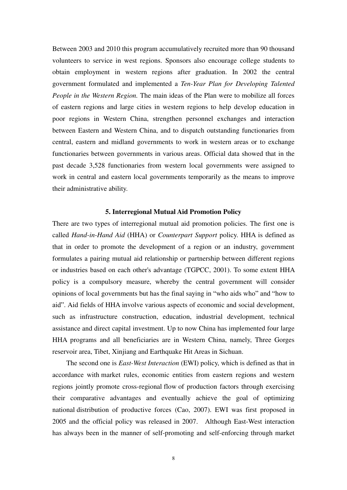Between 2003 and 2010 this program accumulatively recruited more than 90 thousand volunteers to service in west regions. Sponsors also encourage college students to obtain employment in western regions after graduation. In 2002 the central government formulated and implemented a *Ten-Year Plan for Developing Talented People in the Western Region.* The main ideas of the Plan were to mobilize all forces of eastern regions and large cities in western regions to help develop education in poor regions in Western China, strengthen personnel exchanges and interaction between Eastern and Western China, and to dispatch outstanding functionaries from central, eastern and midland governments to work in western areas or to exchange functionaries between governments in various areas. Official data showed that in the past decade 3,528 functionaries from western local governments were assigned to work in central and eastern local governments temporarily as the means to improve their administrative ability.

#### **5. Interregional Mutual Aid Promotion Policy**

There are two types of interregional mutual aid promotion policies. The first one is called *Hand-in-Hand Aid* (HHA) or *Counterpart Support* policy. HHA is defined as that in order to promote the development of a region or an industry, government formulates a pairing mutual aid relationship or partnership between different regions or industries based on each other's advantage (TGPCC, 2001). To some extent HHA policy is a compulsory measure, whereby the central government will consider opinions of local governments but has the final saying in "who aids who" and "how to aid". Aid fields of HHA involve various aspects of economic and social development, such as infrastructure construction, education, industrial development, technical assistance and direct capital investment. Up to now China has implemented four large HHA programs and all beneficiaries are in Western China, namely, Three Gorges reservoir area, Tibet, Xinjiang and Earthquake Hit Areas in Sichuan.

The second one is *East-West Interaction* (EWI) policy, which is defined as that in accordance with market rules, economic entities from eastern regions and western regions jointly promote cross-regional flow of production factors through exercising their comparative advantages and eventually achieve the goal of optimizing national distribution of productive forces (Cao, 2007). EWI was first proposed in 2005 and the official policy was released in 2007. Although East-West interaction has always been in the manner of self-promoting and self-enforcing through [market](app:ds:market%20mechanism)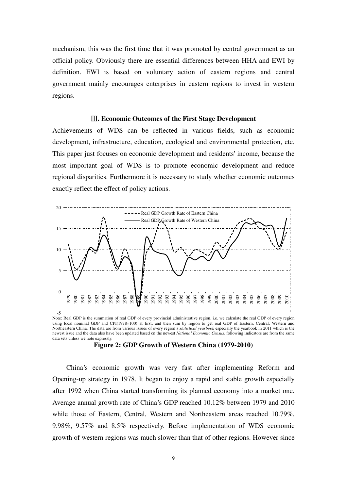mechanism, this was the first time that it was promoted by central government as an official policy. Obviously there are essential differences between HHA and EWI by definition. EWI is based on voluntary action of eastern regions and central government mainly encourages enterprises in eastern regions to invest in western regions.

# Ⅲ**. Economic Outcomes of the First Stage Development**

Achievements of WDS can be reflected in various fields, such as economic development, infrastructure, education, ecological and environmental protection, etc. This paper just focuses on economic development and residents' income, because the most important goal of WDS is to promote economic development and reduce regional disparities. Furthermore it is necessary to study whether economic outcomes exactly reflect the effect of policy actions.



Note: Real GDP is the summation of real GDP of every provincial administrative region, i.e. we calculate the real GDP of every region using local nominal GDP and CPI(1978=100) at first, and then sum by region to get real GDP of Eastern, Central, Western and Northeastern China. The data are from various issues of every region's *statistical yearbook* especially the yearbook in 2011 which is the newest issue and the data also have been updated based on the newest *National Economic Census*, following indicators are from the same data sets unless we note expressly.



China's economic growth was very fast after implementing Reform and Opening-up strategy in 1978. It began to enjoy a rapid and stable growth especially after 1992 when China started transforming its planned economy into a market one. Average annual growth rate of China's GDP reached 10.12% between 1979 and 2010 while those of Eastern, Central, Western and Northeastern areas reached 10.79%, 9.98%, 9.57% and 8.5% respectively. Before implementation of WDS economic growth of western regions was much slower than that of other regions. However since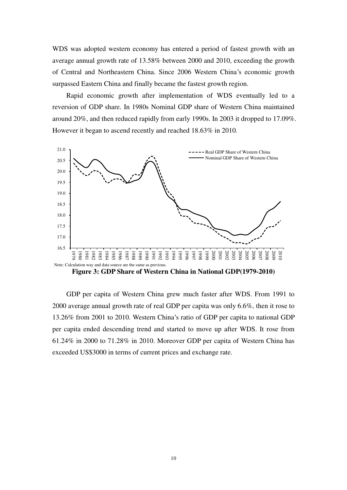WDS was adopted western economy has entered a period of fastest growth with an average annual growth rate of 13.58% between 2000 and 2010, exceeding the growth of Central and Northeastern China. Since 2006 Western China's economic growth surpassed Eastern China and finally became the fastest growth region.

Rapid economic growth after implementation of WDS eventually led to a reversion of GDP share. In 1980s Nominal GDP share of Western China maintained around 20%, and then reduced rapidly from early 1990s. In 2003 it dropped to 17.09%. However it began to ascend recently and reached 18.63% in 2010.



**Figure 3: GDP Share of Western China in National GDP(1979-2010)** 

GDP per capita of Western China grew much faster after WDS. From 1991 to 2000 average annual growth rate of real GDP per capita was only 6.6%, then it rose to 13.26% from 2001 to 2010. Western China's ratio of GDP per capita to national GDP per capita ended descending trend and started to move up after WDS. It rose from 61.24% in 2000 to 71.28% in 2010. Moreover GDP per capita of Western China has exceeded US\$3000 in terms of current prices and exchange rate.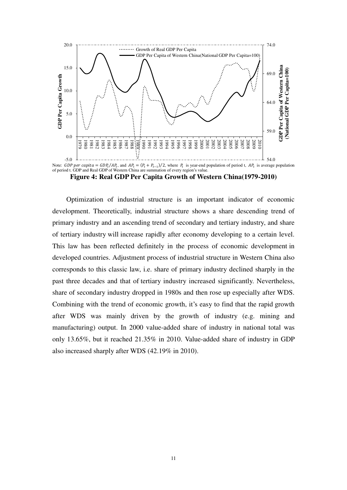

**Figure 4: Real GDP Per Capita Growth of Western China(1979-2010)** 

Optimization of industrial structure is an important indicator of economic development. Theoretically, industrial structure shows a share descending trend of primary industry and an ascending trend of secondary and tertiary industry, and share of tertiary industry will increase rapidly after economy developing to a certain level. This law has been reflected definitely in the process of economic development in developed countries. Adjustment process of industrial structure in Western China also corresponds to this classic law, i.e. share of primary industry declined sharply in the past three decades and that of tertiary industry increased significantly. Nevertheless, share of secondary industry dropped in 1980s and then rose up especially after WDS. Combining with the trend of economic growth, it's easy to find that the rapid growth after WDS was mainly driven by the growth of industry (e.g. mining and manufacturing) output. In 2000 value-added share of industry in national total was only 13.65%, but it reached 21.35% in 2010. Value-added share of industry in GDP also increased sharply after WDS (42.19% in 2010).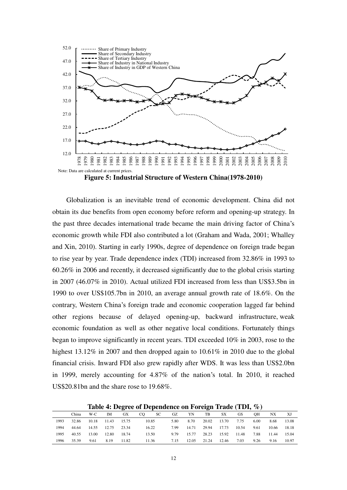

**Figure 5: Industrial Structure of Western China(1978-2010)** 

Globalization is an inevitable trend of economic development. China did not obtain its due benefits from open economy before reform and opening-up strategy. In the past three decades international trade became the main driving factor of China's economic growth while FDI also contributed a lot (Graham and Wada, 2001; Whalley and Xin, 2010). Starting in early 1990s, degree of dependence on foreign trade began to rise year by year. Trade dependence index (TDI) increased from 32.86% in 1993 to 60.26% in 2006 and recently, it decreased significantly due to the global crisis starting in 2007 (46.07% in 2010). Actual utilized FDI increased from less than US\$3.5bn in 1990 to over US\$105.7bn in 2010, an average annual growth rate of 18.6%. On the contrary, Western China's foreign trade and economic cooperation lagged far behind other regions because of delayed opening-up, backward infrastructure, weak economic foundation as well as other negative local conditions. Fortunately things began to improve significantly in recent years. TDI exceeded 10% in 2003, rose to the highest 13.12% in 2007 and then dropped again to 10.61% in 2010 due to the global financial crisis. Inward FDI also grew rapidly after WDS. It was less than US\$2.0bn in 1999, merely accounting for 4.87% of the nation's total. In 2010, it reached US\$20.81bn and the share rose to 19.68%.

**Table 4: Degree of Dependence on Foreign Trade (TDI, %)**

|      | China | W-C   | IM          | GX    | CO.   | SC. | GZ   | YN    | TB    | SX    | <b>GS</b> | OН   | NX    |       |
|------|-------|-------|-------------|-------|-------|-----|------|-------|-------|-------|-----------|------|-------|-------|
| 1993 | 32.86 | 10.18 | 11.43       | 15.75 | 10.85 |     | 5.80 | 8.70  | 20.02 | 13.70 | 7.75      | 6.00 | 8.68  | 13.08 |
| 1994 | 44.64 | 14.55 | 12.75 23.34 |       | 16.22 |     | 7.99 | 14.71 | 29.94 | 17.73 | 10.54     | 9.61 | 10.66 | 18.18 |
| 1995 | 40.55 | 13.00 | 12.80       | 18.74 | 13.50 |     | 9.79 | 15.77 | 28.23 | 15.92 | 11.48     | 7.88 | 11.44 | 15.04 |
| 1996 | 35.39 | 9.61  | 8.19        | 11.82 | 11.36 |     | 7.15 | 12.05 | 21.24 | 12.46 | 7.03      | 9.26 | 9.16  | 10.97 |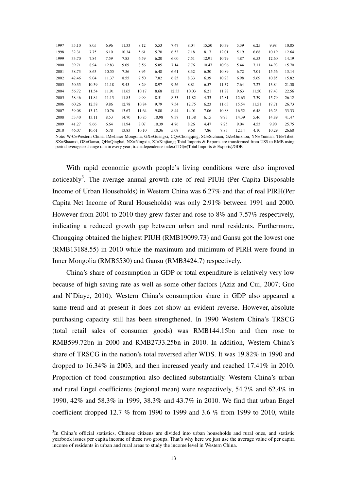| 1997 | 35.10 | 8.05  | 6.96  | 11.33 | 8.12  | 5.53  | 7.47  | 8.04  | 15.50 | 10.39 | 5.39  | 6.25  | 9.98  | 10.05 |
|------|-------|-------|-------|-------|-------|-------|-------|-------|-------|-------|-------|-------|-------|-------|
| 1998 | 32.31 | 7.75  | 6.10  | 10.34 | 5.61  | 5.70  | 6.53  | 7.18  | 8.17  | 12.01 | 5.19  | 6.68  | 10.19 | 12.64 |
| 1999 | 33.70 | 7.84  | 7.59  | 7.85  | 6.59  | 6.20  | 6.00  | 7.51  | 12.91 | 10.79 | 4.87  | 6.53  | 12.60 | 14.19 |
| 2000 | 39.71 | 8.94  | 12.83 | 9.09  | 8.56  | 5.85  | 7.14  | 7.76  | 10.47 | 10.96 | 5.44  | 7.11  | 14.93 | 15.70 |
| 2001 | 38.73 | 8.63  | 10.55 | 7.56  | 8.95  | 6.48  | 6.61  | 8.32  | 6.30  | 10.89 | 6.72  | 7.01  | 15.56 | 13.14 |
| 2002 | 42.46 | 9.04  | 11.37 | 8.55  | 7.50  | 7.82  | 6.85  | 8.33  | 6.39  | 10.23 | 6.98  | 5.69  | 10.85 | 15.82 |
| 2003 | 50.35 | 10.39 | 11.18 | 9.45  | 8.29  | 8.97  | 9.56  | 8.81  | 6.57  | 11.37 | 7.64  | 7.27  | 13.84 | 21.30 |
| 2004 | 56.72 | 11.54 | 11.91 | 11.65 | 10.17 | 8.68  | 12.33 | 10.03 | 6.21  | 11.88 | 9.63  | 11.50 | 17.43 | 22.56 |
| 2005 | 58.46 | 11.84 | 11.13 | 11.85 | 9.99  | 8.51  | 8.33  | 11.82 | 4.33  | 12.81 | 12.65 | 7.39  | 15.79 | 26.12 |
| 2006 | 60.26 | 12.38 | 9.86  | 12.78 | 10.84 | 9.79  | 7.54  | 12.75 | 6.23  | 11.63 | 15.54 | 11.51 | 17.71 | 26.73 |
| 2007 | 59.08 | 13.12 | 10.76 | 13.67 | 11.64 | 9.80  | 8.44  | 14.01 | 7.06  | 10.88 | 16.52 | 6.48  | 16.23 | 33.33 |
| 2008 | 53.40 | 13.11 | 8.53  | 14.70 | 10.85 | 10.98 | 9.37  | 11.38 | 6.15  | 9.93  | 14.39 | 5.46  | 14.89 | 41.47 |
| 2009 | 41.27 | 9.66  | 6.64  | 11.94 | 8.07  | 10.39 | 4.76  | 8.26  | 4.47  | 7.25  | 9.04  | 4.53  | 9.90  | 25.75 |
| 2010 | 46.07 | 10.61 | 6.78  | 13.83 | 10.10 | 10.36 | 5.09  | 9.68  | 7.86  | 7.83  | 12.14 | 4.10  | 10.29 | 26.60 |
|      |       |       |       |       |       |       |       |       |       |       |       |       |       |       |

Note: W-C=Western China, IM=Inner Mongolia, GX=Guangxi, CQ=Chongqing, SC=Sichuan, GZ=Guizhou, YN=Yunnan, TB=Tibet, SX=Shaanxi, GS=Gansu, QH=Qinghai, NX=Ningxia, XJ=Xinjiang; Total Imports & Exports are transformed from US\$ to RMB using period average exchange rate in every year; trade dependence index(TDI)=(Total Imports & Exports)/GDP.

With rapid economic growth people's living conditions were also improved noticeably<sup>3</sup>. The average annual growth rate of real PIUH (Per Capita Disposable Income of Urban Households) in Western China was 6.27% and that of real PIRH(Per Capita Net Income of Rural Households) was only 2.91% between 1991 and 2000. However from 2001 to 2010 they grew faster and rose to 8% and 7.57% respectively, indicating a reduced growth gap between urban and rural residents. Furthermore, Chongqing obtained the highest PIUH (RMB19099.73) and Gansu got the lowest one (RMB13188.55) in 2010 while the maximum and minimum of PIRH were found in Inner Mongolia (RMB5530) and Gansu (RMB3424.7) respectively.

China's share of consumption in GDP or total expenditure is relatively very low because of high saving rate as well as some other factors (Aziz and Cui, 2007; Guo and N'Diaye, 2010). Western China's consumption share in GDP also appeared a same trend and at present it does not show an evident reverse. However, absolute purchasing capacity still has been strengthened. In 1990 Western China's TRSCG (total retail sales of consumer goods) was RMB144.15bn and then rose to RMB599.72bn in 2000 and RMB2733.25bn in 2010. In addition, Western China's share of TRSCG in the nation's total reversed after WDS. It was 19.82% in 1990 and dropped to 16.34% in 2003, and then increased yearly and reached 17.41% in 2010. Proportion of food consumption also declined substantially. Western China's urban and rural [Engel coefficients](app:ds:Engel%20coefficient) (regional mean) were respectively, 54.7% and 62.4% in 1990, 42% and 58.3% in 1999, 38.3% and 43.7% in 2010. We find that urban Engel coefficient dropped 12.7 % from 1990 to 1999 and 3.6 % from 1999 to 2010, while

 $\overline{a}$ 

<sup>&</sup>lt;sup>3</sup>In China's official statistics, Chinese citizens are divided into urban households and rural ones, and statistic yearbook issues per capita income of these two groups. That's why here we just use the average value of per capita income of residents in urban and rural areas to study the income level in Western China.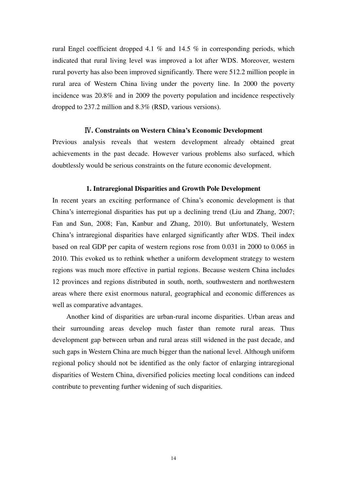rural Engel coefficient dropped 4.1 % and 14.5 % in corresponding periods, which indicated that rural living level was improved a lot after WDS. Moreover, western rural poverty has also been improved significantly. There were 512.2 million people in rural area of Western China living under the poverty line. In 2000 the poverty incidence was 20.8% and in 2009 the poverty population and incidence respectively dropped to 237.2 million and 8.3% (RSD, various versions).

# Ⅳ**. Constraints on Western China's Economic Development**

Previous analysis reveals that western development already obtained great achievements in the past decade. However various problems also surfaced, which doubtlessly would be serious constraints on the future economic development.

# **1. Intraregional Disparities and Growth Pole Development**

In recent years an exciting performance of China's economic development is that China's interregional disparities has put up a declining trend (Liu and Zhang, 2007; Fan and Sun, 2008; Fan, Kanbur and Zhang, 2010). But unfortunately, Western China's intraregional disparities have enlarged significantly after WDS. Theil index based on real GDP per capita of western regions rose from 0.031 in 2000 to 0.065 in 2010. This evoked us to rethink whether a uniform development strategy to western regions was much more effective in partial regions. Because western China includes 12 provinces and regions distributed in south, north, southwestern and northwestern areas where there exist enormous natural, geographical and economic differences as well as comparative advantages.

Another kind of disparities are urban-rural income disparities. Urban areas and their surrounding areas develop much faster than remote rural areas. Thus development gap between urban and rural areas still widened in the past decade, and such gaps in Western China are much bigger than the national level. Although uniform regional policy should not be identified as the only factor of enlarging intraregional disparities of Western China, diversified policies meeting local conditions can indeed contribute to preventing further widening of such disparities.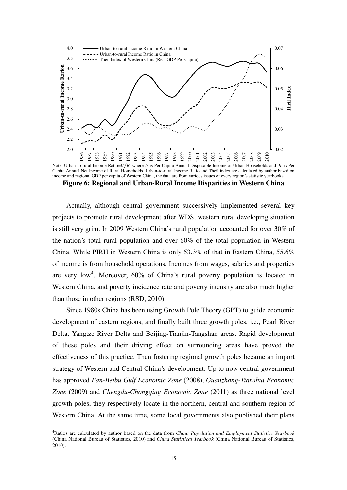

Note: Urban-to-rural Income Ratio= $U/R$ , where U is Per Capita Annual Disposable Income of Urban Households and R is Per Capita Annual Net Income of Rural Households. Urban-to-rural Income Ratio and Theil index are calculated by author based on income and regional GDP per capita of Western China, the data are from various issues of every region's statistic yearbooks.

**Figure 6: Regional and Urban-Rural Income Disparities in Western China** 

Actually, although central government successively implemented several key projects to promote rural development after WDS, western rural developing situation is still very grim. In 2009 Western China's rural population accounted for over 30% of the nation's total rural population and over 60% of the total population in Western China. While PIRH in Western China is only 53.3% of that in Eastern China, 55.6% of income is from household operations. Incomes from wages, salaries and properties are very low<sup>4</sup>. Moreover,  $60\%$  of China's rural poverty population is located in Western China, and poverty incidence rate and poverty intensity are also much higher than those in other regions (RSD, 2010).

Since 1980s China has been using Growth Pole Theory (GPT) to guide economic development of eastern regions, and finally built three growth poles, i.e., Pearl River Delta, Yangtze River Delta and Beijing-Tianjin-Tangshan areas. Rapid development of these poles and their driving effect on surrounding areas have proved the effectiveness of this practice. Then fostering regional growth poles became an import strategy of Western and Central China's development. Up to now central government has approved *Pan-Beibu Gulf Economic Zone* (2008), *Guanzhong-Tianshui Economic Zone* (2009) and *Chengdu-Chongqing Economic Zone* (2011) as three national level growth poles, they respectively locate in the northern, central and southern region of Western China. At the same time, some local governments also published their plans

 $\overline{a}$ 

<sup>4</sup>Ratios are calculated by author based on the data from *China Population and Employment Statistics Yearbook*  (China National Bureau of Statistics, 2010) and *China Statistical Yearbook* (China National Bureau of Statistics, 2010).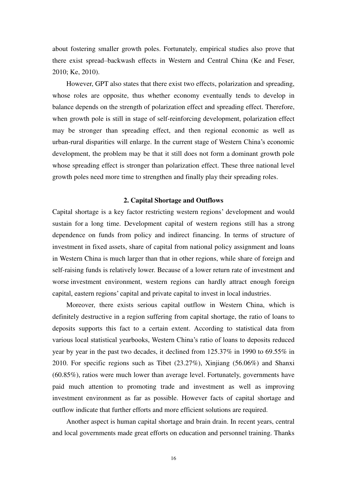about fostering smaller growth poles. Fortunately, empirical studies also prove that there exist spread–backwash effects in Western and Central China (Ke and Feser, 2010; Ke, 2010).

However, GPT also states that there exist two effects, [polarization](app:ds:polarization%20effect) and spreading, whose roles are opposite, thus whether economy eventually tends to develop in balance depends on the strength of polarization effect and spreading effect. Therefore, when growth pole is still in stage of self-reinforcing development, polarization effect may be stronger than spreading effect, and then regional economic as well as urban-rural disparities will enlarge. In the current stage of Western China's economic development, the problem may be that it still does not form a dominant growth pole whose spreading effect is stronger than polarization effect. These three national level growth poles need more time to strengthen and finally play their spreading roles.

#### **2. Capital Shortage and Outflows**

Capital shortage is a key factor restricting western regions' development and would sustain for a long time. Development capital of western regions still has a strong dependence on funds from policy and indirect financing. In terms of structure of investment in fixed assets, share of capital from national policy assignment and loans in Western China is much larger than that in other regions, while share of foreign and self-raising funds is relatively lower. Because of a lower return rate of investment and worse investment environment, western regions can hardly attract enough foreign capital, eastern regions' capital and private capital to invest in local industries.

Moreover, there exists serious capital outflow in Western China, which is definitely destructive in a region suffering from capital shortage, the ratio of loans to deposits supports this fact to a certain extent. According to statistical data from various local statistical yearbooks, Western China's ratio of loans to deposits reduced year by year in the past two decades, it declined from 125.37% in 1990 to 69.55% in 2010. For specific regions such as Tibet (23.27%), Xinjiang (56.06%) and Shanxi (60.85%), ratios were much lower than average level. Fortunately, governments have paid much attention to promoting trade and investment as well as improving investment environment as far as possible. However facts of capital shortage and outflow indicate that further efforts and more efficient solutions are required.

Another aspect is human capital shortage and brain drain. In recent years, central and local governments made great efforts on education and personnel training. Thanks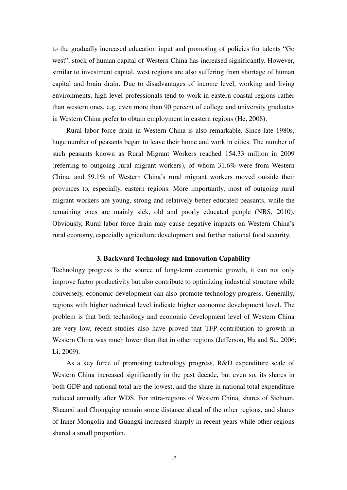to the gradually increased education input and promoting of policies for talents "Go west", stock of human capital of Western China has increased significantly. However, similar to investment capital, west regions are also suffering from shortage of human capital and brain drain. Due to disadvantages of income level, working and living environments, high level professionals tend to work in eastern coastal regions rather than western ones, e.g. even more than 90 percent of college and university graduates in Western China prefer to obtain employment in eastern regions (He, 2008).

Rural labor force drain in Western China is also remarkable. Since late 1980s, huge number of peasants began to leave their home and work in cities. The number of such peasants known as Rural Migrant Workers reached 154.33 million in 2009 (referring to outgoing rural migrant workers), of whom 31.6% were from Western China, and 59.1% of Western China's rural migrant workers moved outside their provinces to, especially, eastern regions. More importantly, most of outgoing rural migrant workers are young, strong and relatively better educated peasants, while the remaining ones are mainly sick, old and poorly educated people (NBS, 2010). Obviously, Rural labor force drain may cause negative impacts on Western China's rural economy, especially agriculture development and further national food security.

## **3. Backward Technology and Innovation Capability**

Technology progress is the source of long-term economic growth, it can not only improve factor productivity but also contribute to optimizing industrial structure while conversely, economic development can also promote technology progress. Generally, regions with higher technical level indicate higher economic development level. The problem is that both technology and economic development level of Western China are very low, recent studies also have proved that TFP contribution to growth in Western China was much lower than that in other regions (Jefferson, Hu and Su, 2006; Li, 2009).

As a key force of promoting technology progress, R&D expenditure scale of Western China increased significantly in the past decade, but even so, its shares in both GDP and national total are the lowest, and the share in national total expenditure reduced annually after WDS. For intra-regions of Western China, shares of Sichuan, Shaanxi and Chongqing remain some distance ahead of the other regions, and shares of Inner Mongolia and Guangxi increased sharply in recent years while other regions shared a small proportion.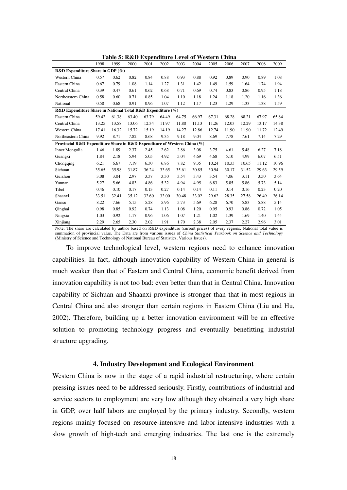|                                                                          |       | Tavic | v. Rud Expenditure Ecter of Western China |       |       |       |       |       |       |       |       |       |
|--------------------------------------------------------------------------|-------|-------|-------------------------------------------|-------|-------|-------|-------|-------|-------|-------|-------|-------|
|                                                                          | 1998  | 1999  | 2000                                      | 2001  | 2002  | 2003  | 2004  | 2005  | 2006  | 2007  | 2008  | 2009  |
| R&D Expenditure Share in GDP (%)                                         |       |       |                                           |       |       |       |       |       |       |       |       |       |
| Western China                                                            | 0.57  | 0.62  | 0.82                                      | 0.84  | 0.88  | 0.93  | 0.88  | 0.92  | 0.89  | 0.90  | 0.89  | 1.08  |
| Eastern China                                                            | 0.67  | 0.79  | 1.08                                      | 1.14  | 1.27  | 1.31  | 1.42  | 1.49  | 1.59  | 1.64  | 1.74  | 1.94  |
| Central China                                                            | 0.39  | 0.47  | 0.61                                      | 0.62  | 0.68  | 0.71  | 0.69  | 0.74  | 0.83  | 0.86  | 0.95  | 1.18  |
| Northeastern China                                                       | 0.58  | 0.60  | 0.71                                      | 0.85  | 1.04  | 1.10  | 1.18  | 1.24  | 1.18  | 1.20  | 1.16  | 1.36  |
| National                                                                 | 0.58  | 0.68  | 0.91                                      | 0.96  | 1.07  | 1.12  | 1.17  | 1.23  | 1.29  | 1.33  | 1.38  | 1.59  |
| R&D Expenditure Share in National Total R&D Expenditure (%)              |       |       |                                           |       |       |       |       |       |       |       |       |       |
| Eastern China                                                            | 59.42 | 61.38 | 63.40                                     | 63.79 | 64.49 | 64.75 | 66.97 | 67.31 | 68.28 | 68.21 | 67.97 | 65.84 |
| Central China                                                            | 13.25 | 13.58 | 13.06                                     | 12.34 | 11.97 | 11.80 | 11.13 | 11.26 | 12.03 | 12.29 | 13.17 | 14.38 |
| Western China                                                            | 17.41 | 16.32 | 15.72                                     | 15.19 | 14.19 | 14.27 | 12.86 | 12.74 | 11.90 | 11.90 | 11.72 | 12.49 |
| Northeastern China                                                       | 9.92  | 8.71  | 7.82                                      | 8.68  | 9.35  | 9.18  | 9.04  | 8.69  | 7.78  | 7.61  | 7.14  | 7.29  |
| Provincial R&D Expenditure Share in R&D Expenditure of Western China (%) |       |       |                                           |       |       |       |       |       |       |       |       |       |
| Inner Mongolia                                                           | 1.46  | 1.89  | 2.37                                      | 2.45  | 2.62  | 2.86  | 3.08  | 3.75  | 4.61  | 5.48  | 6.27  | 7.18  |
| Guangxi                                                                  | 1.84  | 2.18  | 5.94                                      | 5.05  | 4.92  | 5.04  | 4.69  | 4.68  | 5.10  | 4.99  | 6.07  | 6.51  |
| Chongqing                                                                | 6.21  | 6.67  | 7.19                                      | 6.30  | 6.86  | 7.82  | 9.35  | 10.24 | 10.33 | 10.65 | 11.12 | 10.96 |
| Sichuan                                                                  | 35.65 | 35.98 | 31.87                                     | 36.24 | 33.65 | 35.61 | 30.85 | 30.94 | 30.17 | 31.52 | 29.63 | 29.59 |
| Guizhou                                                                  | 3.08  | 3.04  | 2.97                                      | 3.37  | 3.30  | 3.54  | 3.43  | 3.54  | 4.06  | 3.11  | 3.50  | 3.64  |
| Yunnan                                                                   | 5.27  | 5.66  | 4.83                                      | 4.86  | 5.32  | 4.94  | 4.95  | 6.83  | 5.85  | 5.86  | 5.73  | 5.14  |
| Tibet                                                                    | 0.46  | 0.10  | 0.17                                      | 0.13  | 0.27  | 0.14  | 0.14  | 0.11  | 0.14  | 0.16  | 0.23  | 0.20  |
| Shaanxi                                                                  | 33.51 | 32.41 | 35.12                                     | 32.60 | 33.00 | 30.48 | 33.02 | 29.62 | 28.35 | 27.58 | 26.49 | 26.14 |
| Gansu                                                                    | 8.22  | 7.66  | 5.15                                      | 5.28  | 5.96  | 5.73  | 5.69  | 6.28  | 6.70  | 5.83  | 5.88  | 5.14  |
| Qinghai                                                                  | 0.98  | 0.85  | 0.92                                      | 0.74  | 1.13  | 1.08  | 1.20  | 0.95  | 0.93  | 0.86  | 0.72  | 1.05  |
| Ningxia                                                                  | 1.03  | 0.92  | 1.17                                      | 0.96  | 1.06  | 1.07  | 1.21  | 1.02  | 1.39  | 1.69  | 1.40  | 1.44  |
| Xinjiang                                                                 | 2.29  | 2.65  | 2.30                                      | 2.02  | 1.91  | 1.70  | 2.38  | 2.05  | 2.37  | 2.27  | 2.96  | 3.01  |

**Table 5: R&D Expenditure Level of Western China** 

Note: The share are calculated by author based on R&D expenditure (current prices) of every regions, National total value is summation of provincial value. The Data are from various issues of *China Statistical Yearbook on Science and Technology* (Ministry of Science and Technology of National Bureau of Statistics, Various Issues).

To improve technological level, western regions need to enhance innovation capabilities. In fact, although innovation capability of Western China in general is much weaker than that of Eastern and Central China, economic benefit derived from innovation capability is not too bad: even better than that in Central China. Innovation capability of Sichuan and Shaanxi province is stronger than that in most regions in Central China and also stronger than certain regions in Eastern China (Liu and Hu, 2002). Therefore, building up a better innovation environment will be an effective solution to promoting technology progress and eventually benefitting industrial structure upgrading.

#### **4. Industry Development and Ecological Environment**

Western China is now in the stage of a rapid industrial restructuring, where certain pressing issues need to be addressed seriously. Firstly, contributions of industrial and service sectors to employment are very low although they obtained a very high share in GDP, over half labors are employed by the primary industry. Secondly, western regions mainly focused on resource-intensive and labor-intensive industries with a slow growth of high-tech and emerging industries. The last one is the extremely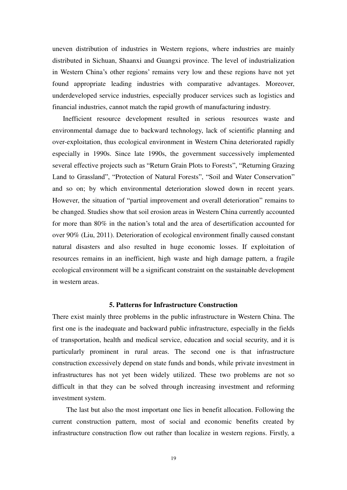uneven distribution of industries in Western regions, where industries are mainly distributed in Sichuan, Shaanxi and Guangxi province. The level of industrialization in Western China's other regions' remains very low and these regions have not yet found [appropriate](app:ds:appropriate) leading industries with comparative advantages. Moreover, underdeveloped service industries, especially producer services such as logistics and [financial industries,](app:ds:financial%20industry) cannot match the rapid growth of manufacturing industry.

 Inefficient resource development resulted in serious resources waste and environmental damage due to backward technology, lack of scientific planning and over-exploitation, thus ecological environment in Western China deteriorated rapidly especially in 1990s. Since late 1990s, the government successively implemented several effective projects such as "Return Grain Plots [to](http://dict.linewow.com/query/to/) [Forests](http://dict.linewow.com/query/forests/)", "Returning Grazing Land to Grassland", "Protection of Natural Forests", "Soil and Water Conservation" and so on; by which environmental deterioration slowed down in recent years. However, the situation of "partial improvement and overall deterioration" remains to be changed. Studies show that soil erosion areas in Western China currently accounted for more than 80% in the nation's total and the area of desertification accounted for over 90% (Liu, 2011). Deterioration of ecological environment finally caused constant natural disasters and also resulted in huge economic losses. If exploitation of resources remains in an inefficient, high waste and high damage pattern, a fragile ecological environment will be a significant constraint on the sustainable development in western areas.

# **5. Patterns for Infrastructure Construction**

There exist mainly three problems in the public infrastructure in Western China. The first one is the inadequate and backward public infrastructure, especially in the fields of transportation, health and medical service, education and social security, and it is particularly prominent in rural areas. The second one is that infrastructure construction excessively depend on state funds and bonds, while private investment in infrastructures has not yet been widely utilized. These two problems are not so difficult in that they can be solved through increasing investment and reforming investment system.

The last but also the most important one lies in benefit allocation. Following the current construction pattern, most of social and economic benefits created by infrastructure construction flow out rather than localize in western regions. Firstly, a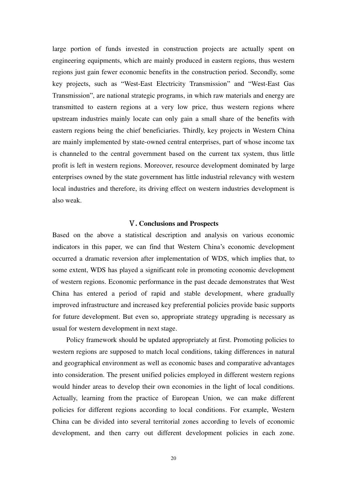large portion of funds invested in construction projects are actually spent on [engineering equipments](app:ds:engineering%20equipment), which are mainly produced in eastern regions, thus western regions just gain fewer economic benefits in the construction period. Secondly, some key projects, such as "West-East Electricity Transmission" and "West-East Gas Transmission", are national strategic programs, in which raw materials and energy are transmitted to eastern regions at a very low price, thus western regions where upstream industries mainly locate can only gain a small share of the benefits with eastern regions being the chief beneficiaries. Thirdly, key projects in Western China are mainly implemented by state-owned central enterprises, part of whose income tax is channeled to the central government based on the current tax system, thus little profit is left in western regions. Moreover, resource development dominated by large enterprises owned by the state government has little industrial relevancy with western local industries and therefore, its driving effect on western industries development is also weak.

# Ⅴ**. Conclusions and Prospects**

Based on the above a statistical description and analysis on various economic indicators in this paper, we can find that Western China's economic development occurred a dramatic reversion after implementation of WDS, which implies that, to some extent, WDS has played a significant role in promoting economic development of western regions. Economic performance in the past decade demonstrates that West China has entered a period of rapid and stable development, where gradually improved infrastructure and increased key preferential policies provide basic supports for future development. But even so, appropriate strategy upgrading is necessary as usual for western development in next stage.

Policy framework should be updated appropriately at first. Promoting policies to western regions are supposed to match local conditions, taking differences in natural and geographical environment as well as economic bases and comparative advantages into consideration. The present unified policies employed in different western regions would hinder areas to develop their own economies in the light of local conditions. Actually, learning from the practice of European Union, we can make different policies for different regions according to local conditions. For example, Western China can be divided into several territorial zones according to levels of economic development, and then carry out different development policies in each zone.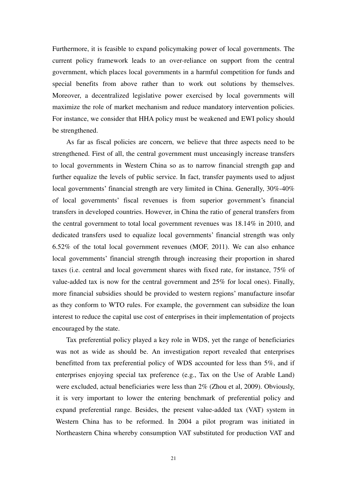Furthermore, it is feasible to expand policymaking power of local governments. The current policy framework leads to an over-reliance on support from the central government, which places local governments in a harmful competition for funds and special benefits from above rather than to work out solutions by themselves. Moreover, a decentralized legislative power exercised by local governments will maximize the role of market mechanism and reduce mandatory [intervention](app:ds:intervention%20policy) policies. For instance, we consider that HHA policy must be weakened and EWI policy should be strengthened.

As far as fiscal policies are concern, we believe that three aspects need to be strengthened. First of all, the central government must unceasingly increase transfers to local governments in Western China so as to narrow financial strength gap and further equalize the levels of public service. In fact, transfer payments used to adjust local governments' financial strength are very limited in China. Generally, 30%-40% of local governments' fiscal revenues is from superior government's financial transfers in developed countries. However, in China the ratio of general transfers from the central government to total local government revenues was 18.14% in 2010, and dedicated transfers used to equalize local governments' financial strength was only 6.52% of the total local government revenues (MOF, 2011). We can also enhance local governments' financial strength through increasing their proportion in shared taxes (i.e. central and local government shares with fixed rate, for instance, 75% of value-added tax is now for the central government and 25% for local ones). Finally, more financial subsidies should be provided to western regions' manufacture insofar as they conform to WTO rules. For example, the government can subsidize the loan interest to reduce the capital use cost of enterprises in their implementation of projects encouraged by the state.

Tax preferential policy played a key role in WDS, yet the range of beneficiaries was not as wide as should be. An investigation report revealed that enterprises benefitted from tax preferential policy of WDS accounted for less than 5%, and if enterprises enjoying special tax preference (e.g., Tax on the Use of Arable Land) were excluded, actual beneficiaries were less than 2% (Zhou et al, 2009). Obviously, it is very important to lower the entering benchmark of preferential policy and expand preferential range. Besides, the present value-added tax (VAT) system in Western China has to be reformed. In 2004 a pilot program was initiated in Northeastern China whereby consumption VAT substituted for production VAT and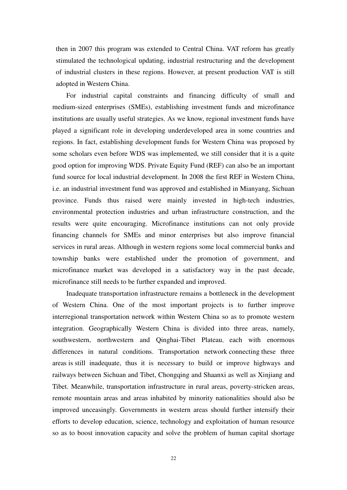then in 2007 this program was extended to Central China. VAT reform has greatly stimulated the technological updating, industrial restructuring and the development of [industrial clusters](app:ds:industrial%20cluster) in these regions. However, at present production VAT is still adopted in Western China.

For industrial capital constraints and financing difficulty of small and medium-sized enterprises (SMEs), establishing investment funds and microfinance institutions are usually useful strategies. As we know, regional investment funds have played a significant role in developing underdeveloped area in some countries and regions. In fact, establishing development funds for Western China was proposed by some scholars even before WDS was implemented, we still consider that it is a quite good option for improving WDS. Private Equity Fund (REF) can also be an important fund source for local industrial development. In 2008 the first REF in Western China, i.e. an industrial investment fund was approved and established in Mianyang, Sichuan province. Funds thus raised were mainly invested in high-tech industries, environmental protection industries and urban infrastructure construction, and the results were quite encouraging. Microfinance institutions can not only provide financing channels for SMEs and minor enterprises but also improve financial services in rural areas. Although in western regions some local commercial banks and township banks were established under the promotion of government, and microfinance market was developed in a satisfactory way in the past decade, microfinance still needs to be further expanded and improved.

Inadequate transportation infrastructure remains a bottleneck in the development of Western China. One of the most important projects is to further improve interregional transportation network within Western China so as to promote western integration. Geographically Western China is divided into three areas, namely, southwestern, northwestern and [Qinghai-Tibet Plateau](app:ds:Qinghai-Tibet%20Plateau), each with enormous differences in natural conditions. Transportation network connecting these three areas is still inadequate, thus it is necessary to build or improve highways and railways between Sichuan and Tibet, Chongqing and Shaanxi as well as Xinjiang and Tibet. Meanwhile, transportation infrastructure in rural areas, poverty-stricken areas, remote mountain areas and areas inhabited b[y minority nationalities](app:ds:The%20Minority%20Nationality%20Regions) should also be improved unceasingly. Governments in western areas should further intensify their efforts to develop education, science, technology and exploitation of human resource so as to boost innovation capacity and solve the problem of human capital shortage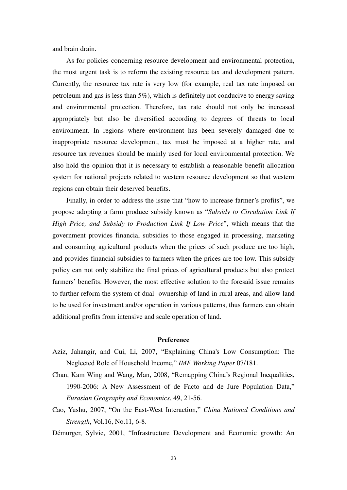and brain drain.

As for policies concerning resource development and environmental protection, the most urgent task is to reform the existing resource tax and development pattern. Currently, the resource tax rate is very low (for example, real tax rate imposed on petroleum and gas is less than 5%), which is definitely not conducive to energy saving and environmental protection. Therefore, tax rate should not only be increased appropriately but also be diversified according to degrees of threats to local environment. In regions where environment has been severely damaged due to inappropriate resource development, tax must be imposed at a higher rate, and resource tax revenues should be mainly used for local environmental protection. We also hold the opinion that it is necessary to establish a reasonable benefit allocation system for national projects related to western resource development so that western regions can obtain their deserved benefits.

Finally, in order to address the issue that "how to increase farmer's profits", we propose adopting a farm produce subsidy known as "Subsidy to Circulation Link If *High Price, and Subsidy to Production Link If Low Price*<sup>"</sup>, which means that the government provides financial subsidies to those engaged in processing, marketing and consuming agricultural products when the prices of such produce are too high, and provides financial subsidies to farmers when the prices are too low. This subsidy policy can not only stabilize the final prices of agricultural products but also protect farmers' benefits. However, the most effective solution to the foresaid issue remains to further reform the system of dual- ownership of [land i](app:ds:land%20system)n rural areas, and allow land to be used for investment and/or operation in various patterns, thus farmers can obtain additional profits from intensive and [scale operation](app:ds:scale%20management) of land.

#### **Preference**

- Aziz, Jahangir, and Cui, Li, 2007, "Explaining China's Low Consumption: The Neglected Role of Household Income," *IMF Working Paper* 07/181.
- Chan, Kam Wing and Wang, Man, 2008, "Remapping China's Regional Inequalities, 1990-2006: A New Assessment of de Facto and de Jure Population Data," *Eurasian Geography and Economics*, 49, 21-56.
- Cao, Yushu, 2007, "On the East-West Interaction," China National Conditions and *Strength*, Vol.16, No.11, 6-8.
- Démurger, Sylvie, 2001, "Infrastructure Development and Economic growth: An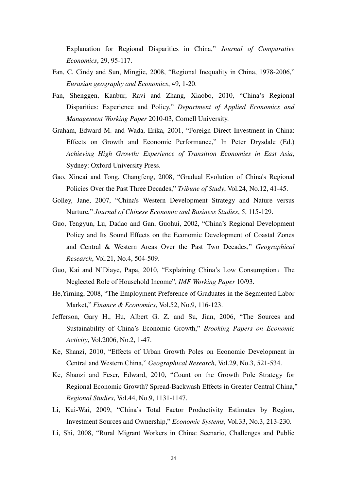Explanation for Regional Disparities in China," *Journal of Comparative Economics*, 29, 95-117.

- Fan, C. Cindy and Sun, Mingjie, 2008, "Regional Inequality in China, 1978-2006," *Eurasian geography and Economics*, 49, 1-20.
- Fan, Shenggen, Kanbur, Ravi and Zhang, Xiaobo, 2010, "China's Regional Disparities: Experience and Policy," *Department of Applied Economics and Management Working Paper* 2010-03, Cornell University.
- Graham, Edward M. and Wada, Erika, 2001, "Foreign Direct Investment in China: Effects on Growth and Economic Performance," In Peter Drysdale (Ed.) *Achieving High Growth: Experience of Transition Economies in East Asia*, Sydney: Oxford University Press.
- Gao, Xincai and Tong, Changfeng, 2008, "Gradual Evolution of China's Regional Policies Over the Past Three Decades," *Tribune of Study*, Vol.24, No.12, 41-45.
- Golley, Jane, 2007, "China's Western Development Strategy and Nature versus Nurture," *Journal of Chinese Economic and Business Studies*, 5, 115-129.
- Guo, Tengyun, Lu, Dadao and Gan, Guohui, 2002, "China's Regional Development Policy and Its Sound Effects on the Economic Development of Coastal Zones and Central & Western Areas Over the Past Two Decades," *Geographical Research*, Vol.21, No.4, 504-509.
- Guo, Kai and N'Diaye, Papa, 2010, "Explaining China's Low Consumption: The Neglected Role of Household Income", *IMF Working Paper* 10/93.
- He, Yiming, 2008, "The Employment Preference of Graduates in the Segmented Labor Market," *[Finance & Economics](http://c.wanfangdata.com.cn/Periodical-cjkx.aspx)*, Vol.52, No.9, 116-123.
- Jefferson, Gary H., Hu, Albert G. Z. and Su, Jian, 2006, "The Sources and Sustainability of China's Economic Growth," *Brooking Papers on Economic Activity*, Vol.2006, No.2, 1-47.
- Ke, Shanzi, 2010, "Effects of Urban Growth Poles on Economic Development in Central and Western China," *Geographical Research*, Vol.29, No.3, 521-534.
- Ke, Shanzi and Feser, Edward, 2010, "Count on the Growth Pole Strategy for Regional Economic Growth? Spread-Backwash Effects in Greater Central China," *Regional Studies*, Vol.44, No.9, 1131-1147.
- Li, Kui-Wai, 2009, "China's Total Factor Productivity Estimates by Region, Investment Sources and Ownership," *Economic Systems*, Vol.33, No.3, 213-230.
- Li, Shi, 2008, "Rural Migrant Workers in China: Scenario, Challenges and Public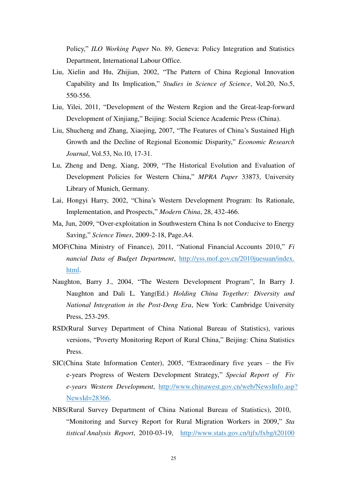Policy,‖ *ILO Working Paper* No. 89, Geneva: Policy Integration and Statistics Department, International Labour Office.

- Liu, Xielin and Hu, Zhijian, 2002, "The Pattern of China Regional Innovation Capability and Its Implication," *Studies in Science of Science*, Vol.20, No.5, 550-556.
- Liu, Yilei, 2011, "Development of the Western Region and the Great-leap-forward Development of Xinjiang," Beijing: Social Science Academic Press (China).
- Liu, Shucheng and Zhang, Xiaojing, 2007, "The Features of China's Sustained High Growth and the Decline of Regional Economic Disparity," *Economic Research Journal*, Vol.53, No.10, 17-31.
- Lu, Zheng and Deng, Xiang, 2009, "The Historical Evolution and Evaluation of Development Policies for Western China," MPRA Paper 33873, University Library of Munich, Germany.
- Lai, Hongyi Harry, 2002, "China's Western Development Program: Its Rationale, Implementation, and Prospects," *Modern China*, 28, 432-466.
- Ma, Jun, 2009, "Over-exploitation in Southwestern China Is not Conducive to Energy Saving,‖ *Science Times*, 2009-2-18, Page.A4.
- MOF(China Ministry of Finance), 2011, "National Financial Accounts 2010," *Fi nancial Data of Budget Department*, [http://yss.mof.gov.cn/2010juesuan/index.](http://yss.mof.gov.cn/2010juesuan/index.html) [html.](http://yss.mof.gov.cn/2010juesuan/index.html)
- Naughton, Barry J., 2004, "The Western Development Program", In Barry J. Naughton and Dali L. Yang(Ed.) *Holding China Together: Diversity and National Integration in the Post-Deng Era*, New York: Cambridge University Press, 253-295.
- RSD(Rural Survey Department of China National Bureau of Statistics), various versions, "Poverty Monitoring Report of Rural China," Beijing: China Statistics Press.
- $SIC(China State Information Center), 2005, "Extractianity five years the Five$ e-years Progress of Western Development Strategy," Special Report of Fiv *e-years Western Development*, [http://www.chinawest.gov.cn/web/NewsInfo.asp?](http://www.chinawest.gov.cn/web/NewsInfo.asp?NewsId=28366) [NewsId=28366.](http://www.chinawest.gov.cn/web/NewsInfo.asp?NewsId=28366)
- NBS(Rural Survey Department of China National Bureau of Statistics), 2010, "Monitoring and Survey Report for Rural Migration Workers in 2009," Sta *tistical Analysis Report*, 2010-03-19, [http://www.stats.gov.cn/tjfx/fxbg/t20100](http://www.stats.gov.cn/tjfx/fxbg/t20100319_402628281.htm)